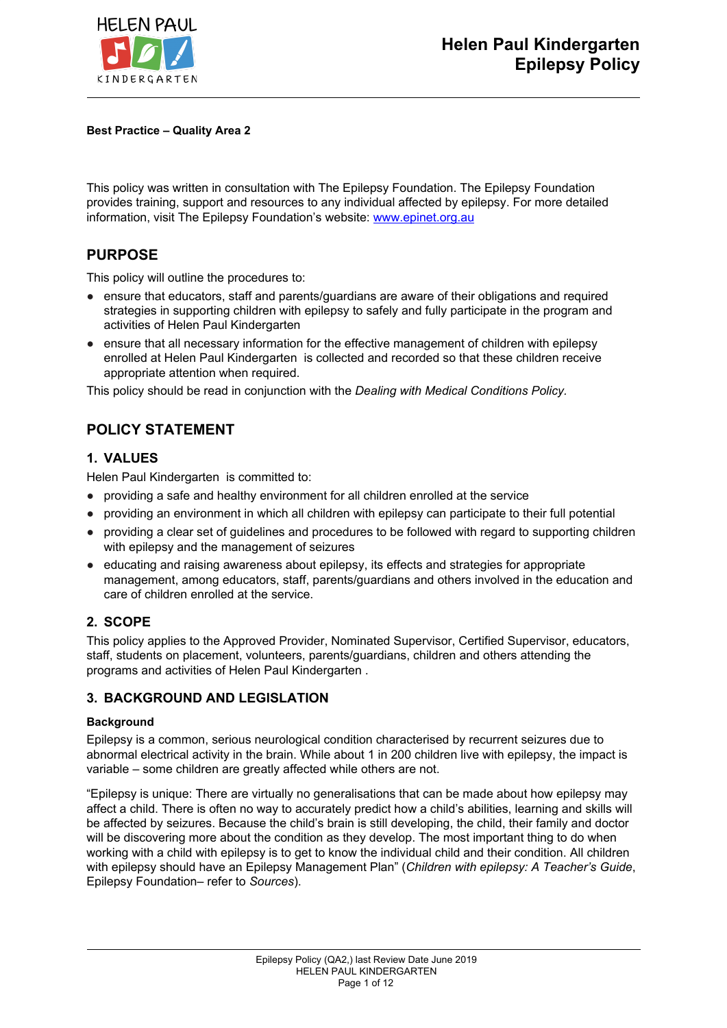

**Best Practice – Quality Area 2**

This policy was written in consultation with The Epilepsy Foundation. The Epilepsy Foundation provides training, support and resources to any individual affected by epilepsy. For more detailed information, visit The Epilepsy Foundation's website: [www.epinet.org.au](http://www.epinet.org.au/)

## **PURPOSE**

This policy will outline the procedures to:

- ensure that educators, staff and parents/quardians are aware of their obligations and required strategies in supporting children with epilepsy to safely and fully participate in the program and activities of Helen Paul Kindergarten
- ensure that all necessary information for the effective management of children with epilepsy enrolled at Helen Paul Kindergarten is collected and recorded so that these children receive appropriate attention when required.

This policy should be read in conjunction with the *Dealing with Medical Conditions Policy.*

# **POLICY STATEMENT**

### **1. VALUES**

Helen Paul Kindergarten is committed to:

- providing a safe and healthy environment for all children enrolled at the service
- providing an environment in which all children with epilepsy can participate to their full potential
- providing a clear set of guidelines and procedures to be followed with regard to supporting children with epilepsy and the management of seizures
- educating and raising awareness about epilepsy, its effects and strategies for appropriate management, among educators, staff, parents/guardians and others involved in the education and care of children enrolled at the service.

## **2. SCOPE**

This policy applies to the Approved Provider, Nominated Supervisor, Certified Supervisor, educators, staff, students on placement, volunteers, parents/guardians, children and others attending the programs and activities of Helen Paul Kindergarten .

### **3. BACKGROUND AND LEGISLATION**

### **Background**

Epilepsy is a common, serious neurological condition characterised by recurrent seizures due to abnormal electrical activity in the brain. While about 1 in 200 children live with epilepsy, the impact is variable – some children are greatly affected while others are not.

"Epilepsy is unique: There are virtually no generalisations that can be made about how epilepsy may affect a child. There is often no way to accurately predict how a child's abilities, learning and skills will be affected by seizures. Because the child's brain is still developing, the child, their family and doctor will be discovering more about the condition as they develop. The most important thing to do when working with a child with epilepsy is to get to know the individual child and their condition. All children with epilepsy should have an Epilepsy Management Plan" (*Children with epilepsy: A Teacher's Guide*, Epilepsy Foundation– refer to *Sources*).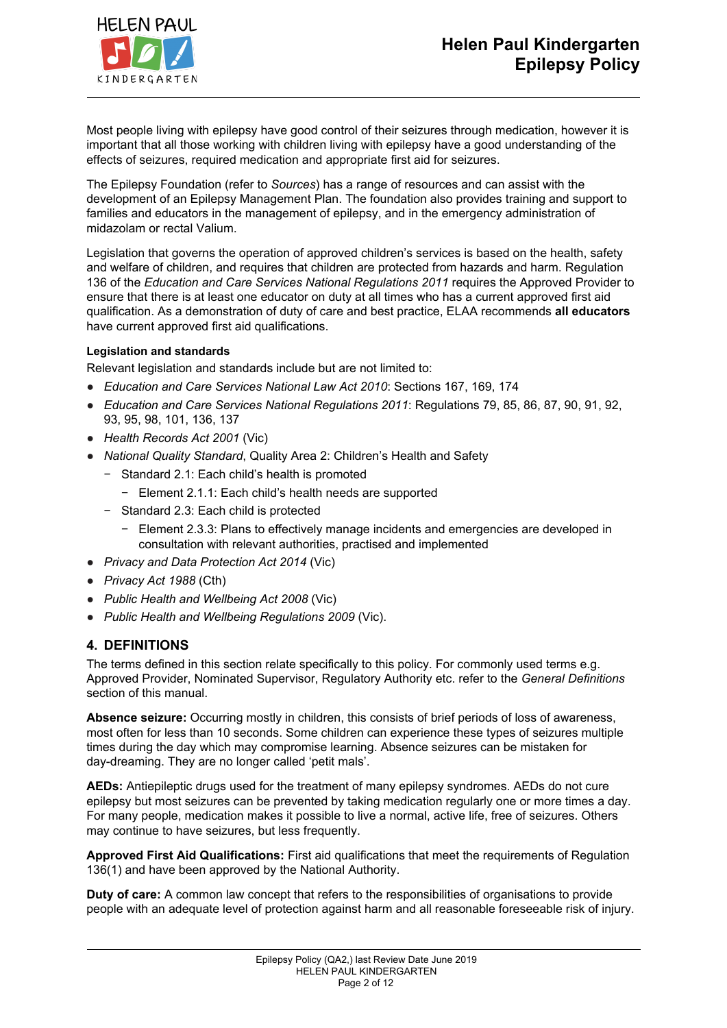

Most people living with epilepsy have good control of their seizures through medication, however it is important that all those working with children living with epilepsy have a good understanding of the effects of seizures, required medication and appropriate first aid for seizures.

The Epilepsy Foundation (refer to *Sources*) has a range of resources and can assist with the development of an Epilepsy Management Plan. The foundation also provides training and support to families and educators in the management of epilepsy, and in the emergency administration of midazolam or rectal Valium.

Legislation that governs the operation of approved children's services is based on the health, safety and welfare of children, and requires that children are protected from hazards and harm. Regulation 136 of the *Education and Care Services National Regulations 2011* requires the Approved Provider to ensure that there is at least one educator on duty at all times who has a current approved first aid qualification. As a demonstration of duty of care and best practice, ELAA recommends **all educators** have current approved first aid qualifications.

### **Legislation and standards**

Relevant legislation and standards include but are not limited to:

- *Education and Care Services National Law Act 2010*: Sections 167, 169, 174
- *Education and Care Services National Regulations 2011*: Regulations 79, 85, 86, 87, 90, 91, 92, 93, 95, 98, 101, 136, 137
- *Health Records Act 2001* (Vic)
- *National Quality Standard*, Quality Area 2: Children's Health and Safety
	- − Standard 2.1: Each child's health is promoted
		- − Element 2.1.1: Each child's health needs are supported
	- − Standard 2.3: Each child is protected
		- − Element 2.3.3: Plans to effectively manage incidents and emergencies are developed in consultation with relevant authorities, practised and implemented
- *Privacy and Data Protection Act 2014* (Vic)
- *Privacy Act 1988* (Cth)
- *Public Health and Wellbeing Act 2008* (Vic)
- *Public Health and Wellbeing Regulations 2009* (Vic).

### **4. DEFINITIONS**

The terms defined in this section relate specifically to this policy. For commonly used terms e.g. Approved Provider, Nominated Supervisor, Regulatory Authority etc. refer to the *General Definitions* section of this manual.

**Absence seizure:** Occurring mostly in children, this consists of brief periods of loss of awareness, most often for less than 10 seconds. Some children can experience these types of seizures multiple times during the day which may compromise learning. Absence seizures can be mistaken for day-dreaming. They are no longer called 'petit mals'.

**AEDs:** Antiepileptic drugs used for the treatment of many epilepsy syndromes. AEDs do not cure epilepsy but most seizures can be prevented by taking medication regularly one or more times a day. For many people, medication makes it possible to live a normal, active life, free of seizures. Others may continue to have seizures, but less frequently.

**Approved First Aid Qualifications:** First aid qualifications that meet the requirements of Regulation 136(1) and have been approved by the National Authority.

**Duty of care:** A common law concept that refers to the responsibilities of organisations to provide people with an adequate level of protection against harm and all reasonable foreseeable risk of injury.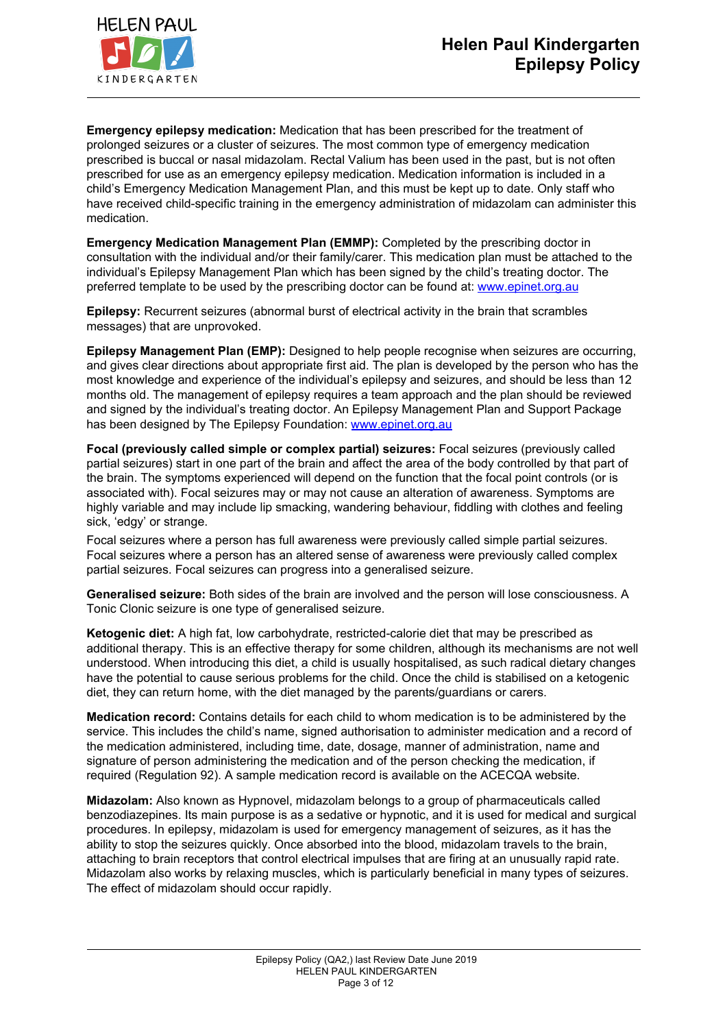**Emergency epilepsy medication:** Medication that has been prescribed for the treatment of prolonged seizures or a cluster of seizures. The most common type of emergency medication prescribed is buccal or nasal midazolam. Rectal Valium has been used in the past, but is not often prescribed for use as an emergency epilepsy medication. Medication information is included in a child's Emergency Medication Management Plan, and this must be kept up to date. Only staff who have received child-specific training in the emergency administration of midazolam can administer this medication.

**Emergency Medication Management Plan (EMMP):** Completed by the prescribing doctor in consultation with the individual and/or their family/carer. This medication plan must be attached to the individual's Epilepsy Management Plan which has been signed by the child's treating doctor. The preferred template to be used by the prescribing doctor can be found at: [www.epinet.org.au](http://www.epinet.org.au/)

**Epilepsy:** Recurrent seizures (abnormal burst of electrical activity in the brain that scrambles messages) that are unprovoked.

**Epilepsy Management Plan (EMP):** Designed to help people recognise when seizures are occurring, and gives clear directions about appropriate first aid. The plan is developed by the person who has the most knowledge and experience of the individual's epilepsy and seizures, and should be less than 12 months old. The management of epilepsy requires a team approach and the plan should be reviewed and signed by the individual's treating doctor. An Epilepsy Management Plan and Support Package has been designed by The Epilepsy Foundation: [www.epinet.org.au](http://www.epinet.org.au/)

**Focal (previously called simple or complex partial) seizures:** Focal seizures (previously called partial seizures) start in one part of the brain and affect the area of the body controlled by that part of the brain. The symptoms experienced will depend on the function that the focal point controls (or is associated with). Focal seizures may or may not cause an alteration of awareness. Symptoms are highly variable and may include lip smacking, wandering behaviour, fiddling with clothes and feeling sick, 'edgy' or strange.

Focal seizures where a person has full awareness were previously called simple partial seizures. Focal seizures where a person has an altered sense of awareness were previously called complex partial seizures. Focal seizures can progress into a generalised seizure.

**Generalised seizure:** Both sides of the brain are involved and the person will lose consciousness. A Tonic Clonic seizure is one type of generalised seizure.

**Ketogenic diet:** A high fat, low carbohydrate, restricted-calorie diet that may be prescribed as additional therapy. This is an effective therapy for some children, although its mechanisms are not well understood. When introducing this diet, a child is usually hospitalised, as such radical dietary changes have the potential to cause serious problems for the child. Once the child is stabilised on a ketogenic diet, they can return home, with the diet managed by the parents/guardians or carers.

**Medication record:** Contains details for each child to whom medication is to be administered by the service. This includes the child's name, signed authorisation to administer medication and a record of the medication administered, including time, date, dosage, manner of administration, name and signature of person administering the medication and of the person checking the medication, if required (Regulation 92). A sample medication record is available on the ACECQA website.

**Midazolam:** Also known as Hypnovel, midazolam belongs to a group of pharmaceuticals called benzodiazepines. Its main purpose is as a sedative or hypnotic, and it is used for medical and surgical procedures. In epilepsy, midazolam is used for emergency management of seizures, as it has the ability to stop the seizures quickly. Once absorbed into the blood, midazolam travels to the brain, attaching to brain receptors that control electrical impulses that are firing at an unusually rapid rate. Midazolam also works by relaxing muscles, which is particularly beneficial in many types of seizures. The effect of midazolam should occur rapidly.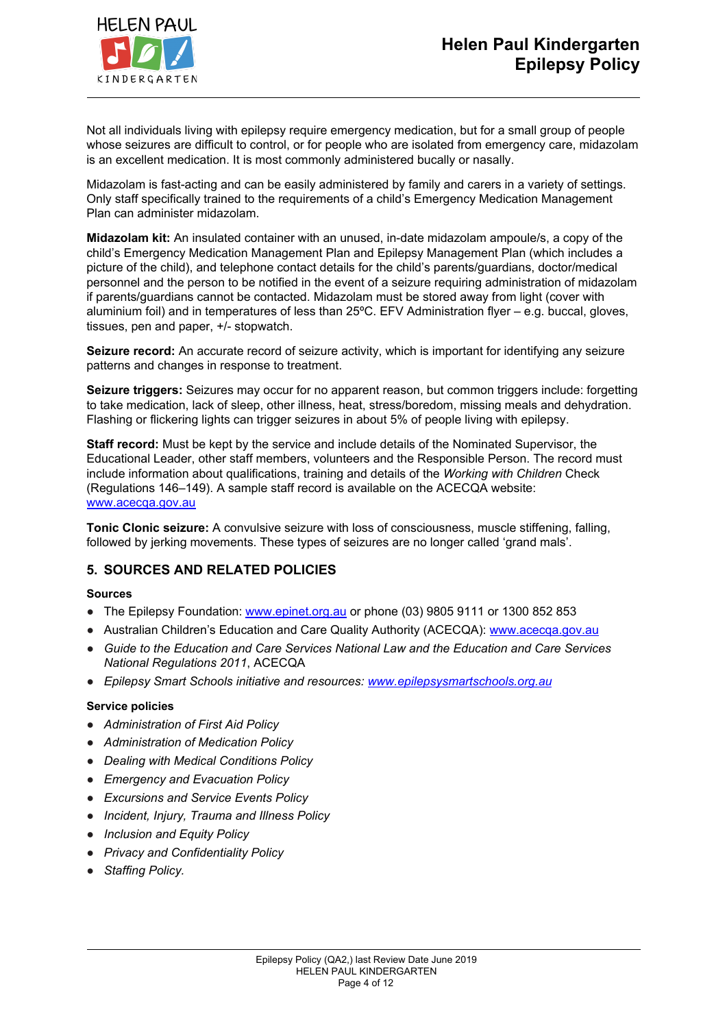

Not all individuals living with epilepsy require emergency medication, but for a small group of people whose seizures are difficult to control, or for people who are isolated from emergency care, midazolam is an excellent medication. It is most commonly administered bucally or nasally.

Midazolam is fast-acting and can be easily administered by family and carers in a variety of settings. Only staff specifically trained to the requirements of a child's Emergency Medication Management Plan can administer midazolam.

**Midazolam kit:** An insulated container with an unused, in-date midazolam ampoule/s, a copy of the child's Emergency Medication Management Plan and Epilepsy Management Plan (which includes a picture of the child), and telephone contact details for the child's parents/guardians, doctor/medical personnel and the person to be notified in the event of a seizure requiring administration of midazolam if parents/guardians cannot be contacted. Midazolam must be stored away from light (cover with aluminium foil) and in temperatures of less than 25ºC. EFV Administration flyer – e.g. buccal, gloves, tissues, pen and paper, +/- stopwatch.

**Seizure record:** An accurate record of seizure activity, which is important for identifying any seizure patterns and changes in response to treatment.

**Seizure triggers:** Seizures may occur for no apparent reason, but common triggers include: forgetting to take medication, lack of sleep, other illness, heat, stress/boredom, missing meals and dehydration. Flashing or flickering lights can trigger seizures in about 5% of people living with epilepsy.

**Staff record:** Must be kept by the service and include details of the Nominated Supervisor, the Educational Leader, other staff members, volunteers and the Responsible Person. The record must include information about qualifications, training and details of the *Working with Children* Check (Regulations 146–149). A sample staff record is available on the ACECQA website: [www.acecqa.gov.au](http://www.acecqa.gov.au/)

**Tonic Clonic seizure:** A convulsive seizure with loss of consciousness, muscle stiffening, falling, followed by jerking movements. These types of seizures are no longer called 'grand mals'.

## **5. SOURCES AND RELATED POLICIES**

### **Sources**

- The Epilepsy Foundation: [www.epinet.org.au](http://www.epinet.org.au/) or phone (03) 9805 9111 or 1300 852 853
- Australian Children's Education and Care Quality Authority (ACECQA): [www.acecqa.gov.au](http://www.acecqa.gov.au/)
- *Guide to the Education and Care Services National Law and the Education and Care Services National Regulations 2011*, ACECQA
- *Epilepsy Smart Schools initiative and resources: [www.epilepsysmartschools.org.au](http://www.epilepsysmartschools.org.au/)*

### **Service policies**

- *Administration of First Aid Policy*
- *Administration of Medication Policy*
- *Dealing with Medical Conditions Policy*
- *Emergency and Evacuation Policy*
- *Excursions and Service Events Policy*
- *Incident, Injury, Trauma and Illness Policy*
- *Inclusion and Equity Policy*
- *Privacy and Confidentiality Policy*
- *Staffing Policy.*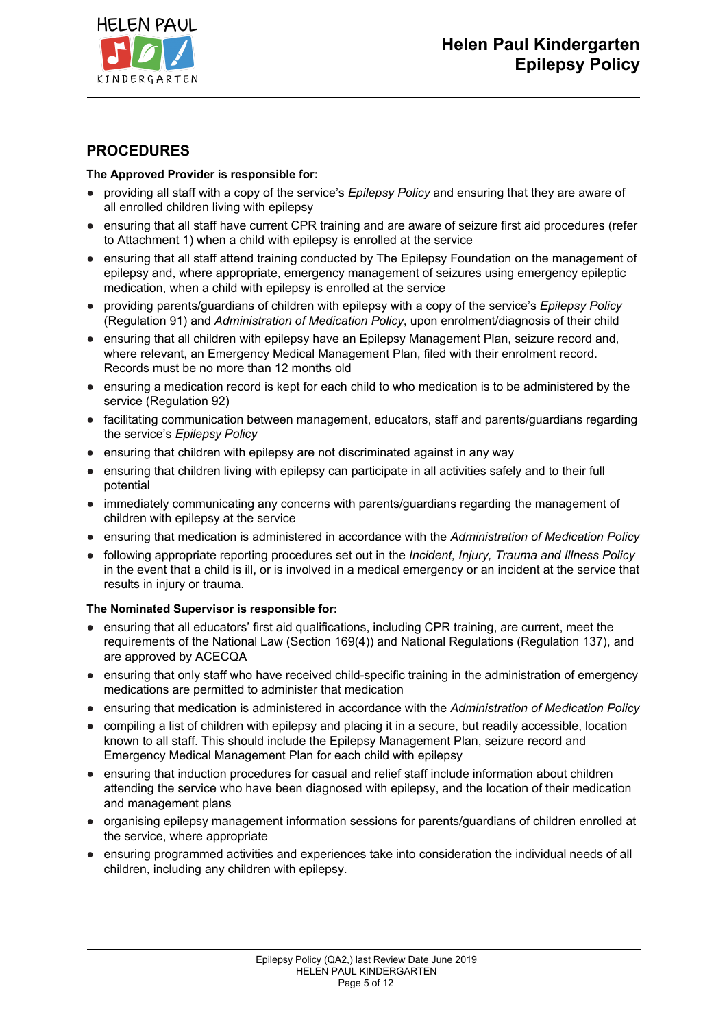

## **PROCEDURES**

### **The Approved Provider is responsible for:**

- providing all staff with a copy of the service's *Epilepsy Policy* and ensuring that they are aware of all enrolled children living with epilepsy
- ensuring that all staff have current CPR training and are aware of seizure first aid procedures (refer to Attachment 1) when a child with epilepsy is enrolled at the service
- ensuring that all staff attend training conducted by The Epilepsy Foundation on the management of epilepsy and, where appropriate, emergency management of seizures using emergency epileptic medication, when a child with epilepsy is enrolled at the service
- providing parents/guardians of children with epilepsy with a copy of the service's *Epilepsy Policy* (Regulation 91) and *Administration of Medication Policy*, upon enrolment/diagnosis of their child
- ensuring that all children with epilepsy have an Epilepsy Management Plan, seizure record and, where relevant, an Emergency Medical Management Plan, filed with their enrolment record. Records must be no more than 12 months old
- ensuring a medication record is kept for each child to who medication is to be administered by the service (Regulation 92)
- facilitating communication between management, educators, staff and parents/guardians regarding the service's *Epilepsy Policy*
- ensuring that children with epilepsy are not discriminated against in any way
- ensuring that children living with epilepsy can participate in all activities safely and to their full potential
- immediately communicating any concerns with parents/guardians regarding the management of children with epilepsy at the service
- ensuring that medication is administered in accordance with the *Administration of Medication Policy*
- following appropriate reporting procedures set out in the *Incident, Injury, Trauma and Illness Policy* in the event that a child is ill, or is involved in a medical emergency or an incident at the service that results in injury or trauma.

### **The Nominated Supervisor is responsible for:**

- ensuring that all educators' first aid qualifications, including CPR training, are current, meet the requirements of the National Law (Section 169(4)) and National Regulations (Regulation 137), and are approved by ACECQA
- ensuring that only staff who have received child-specific training in the administration of emergency medications are permitted to administer that medication
- ensuring that medication is administered in accordance with the *Administration of Medication Policy*
- compiling a list of children with epilepsy and placing it in a secure, but readily accessible, location known to all staff. This should include the Epilepsy Management Plan, seizure record and Emergency Medical Management Plan for each child with epilepsy
- ensuring that induction procedures for casual and relief staff include information about children attending the service who have been diagnosed with epilepsy, and the location of their medication and management plans
- organising epilepsy management information sessions for parents/guardians of children enrolled at the service, where appropriate
- ensuring programmed activities and experiences take into consideration the individual needs of all children, including any children with epilepsy.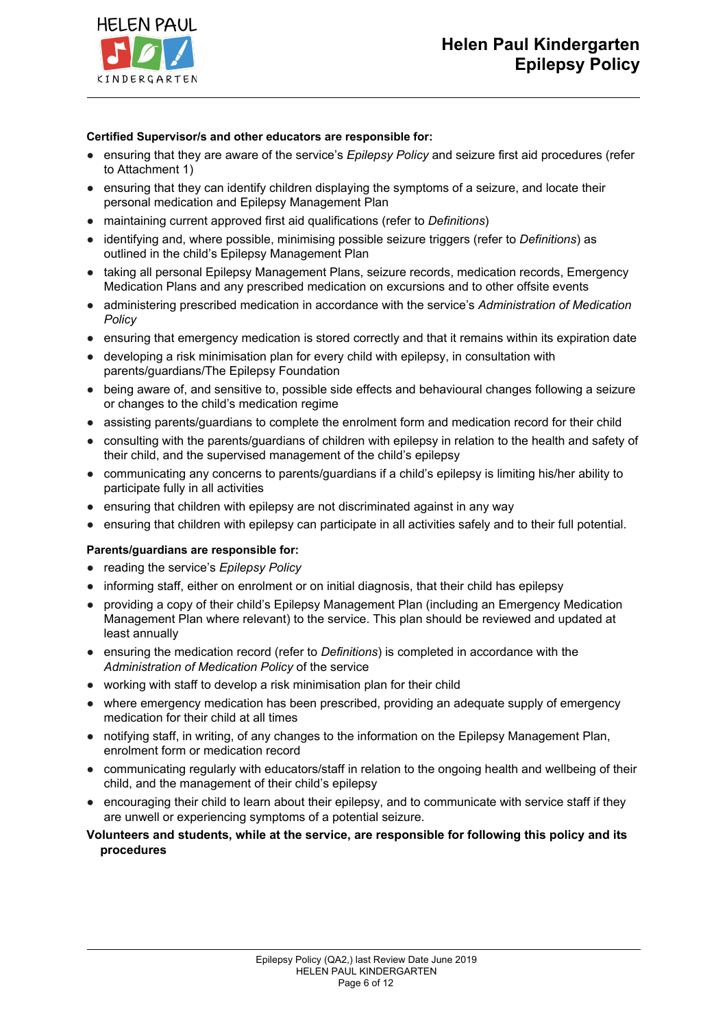

### **Certified Supervisor/s and other educators are responsible for:**

- ensuring that they are aware of the service's *Epilepsy Policy* and seizure first aid procedures (refer to Attachment 1)
- ensuring that they can identify children displaying the symptoms of a seizure, and locate their personal medication and Epilepsy Management Plan
- maintaining current approved first aid qualifications (refer to *Definitions*)
- identifying and, where possible, minimising possible seizure triggers (refer to *Definitions*) as outlined in the child's Epilepsy Management Plan
- taking all personal Epilepsy Management Plans, seizure records, medication records, Emergency Medication Plans and any prescribed medication on excursions and to other offsite events
- administering prescribed medication in accordance with the service's *Administration of Medication Policy*
- ensuring that emergency medication is stored correctly and that it remains within its expiration date
- developing a risk minimisation plan for every child with epilepsy, in consultation with parents/guardians/The Epilepsy Foundation
- being aware of, and sensitive to, possible side effects and behavioural changes following a seizure or changes to the child's medication regime
- assisting parents/guardians to complete the enrolment form and medication record for their child
- consulting with the parents/guardians of children with epilepsy in relation to the health and safety of their child, and the supervised management of the child's epilepsy
- communicating any concerns to parents/guardians if a child's epilepsy is limiting his/her ability to participate fully in all activities
- ensuring that children with epilepsy are not discriminated against in any way
- ensuring that children with epilepsy can participate in all activities safely and to their full potential.

### **Parents/guardians are responsible for:**

- reading the service's *Epilepsy Policy*
- informing staff, either on enrolment or on initial diagnosis, that their child has epilepsy
- providing a copy of their child's Epilepsy Management Plan (including an Emergency Medication Management Plan where relevant) to the service. This plan should be reviewed and updated at least annually
- ensuring the medication record (refer to *Definitions*) is completed in accordance with the *Administration of Medication Policy* of the service
- working with staff to develop a risk minimisation plan for their child
- where emergency medication has been prescribed, providing an adequate supply of emergency medication for their child at all times
- notifying staff, in writing, of any changes to the information on the Epilepsy Management Plan, enrolment form or medication record
- communicating regularly with educators/staff in relation to the ongoing health and wellbeing of their child, and the management of their child's epilepsy
- encouraging their child to learn about their epilepsy, and to communicate with service staff if they are unwell or experiencing symptoms of a potential seizure.
- **Volunteers and students, while at the service, are responsible for following this policy and its procedures**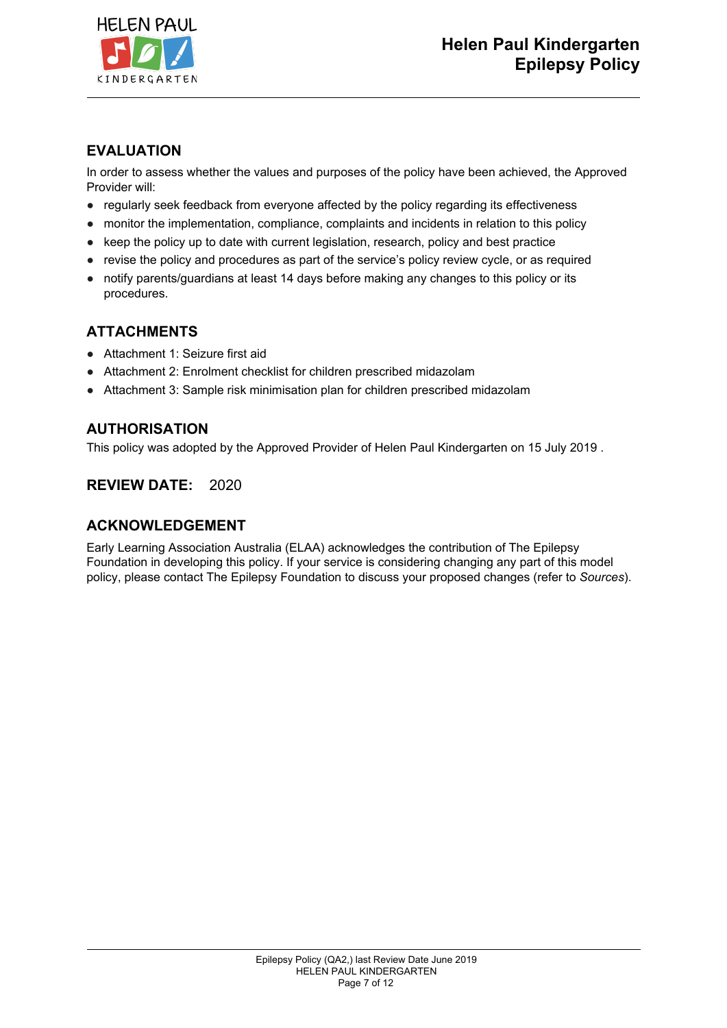

## **EVALUATION**

In order to assess whether the values and purposes of the policy have been achieved, the Approved Provider will:

- regularly seek feedback from everyone affected by the policy regarding its effectiveness
- monitor the implementation, compliance, complaints and incidents in relation to this policy
- keep the policy up to date with current legislation, research, policy and best practice
- revise the policy and procedures as part of the service's policy review cycle, or as required
- notify parents/guardians at least 14 days before making any changes to this policy or its procedures.

## **ATTACHMENTS**

- Attachment 1: Seizure first aid
- Attachment 2: Enrolment checklist for children prescribed midazolam
- Attachment 3: Sample risk minimisation plan for children prescribed midazolam

## **AUTHORISATION**

This policy was adopted by the Approved Provider of Helen Paul Kindergarten on 15 July 2019 .

## **REVIEW DATE:** 2020

## **ACKNOWLEDGEMENT**

Early Learning Association Australia (ELAA) acknowledges the contribution of The Epilepsy Foundation in developing this policy. If your service is considering changing any part of this model policy, please contact The Epilepsy Foundation to discuss your proposed changes (refer to *Sources*).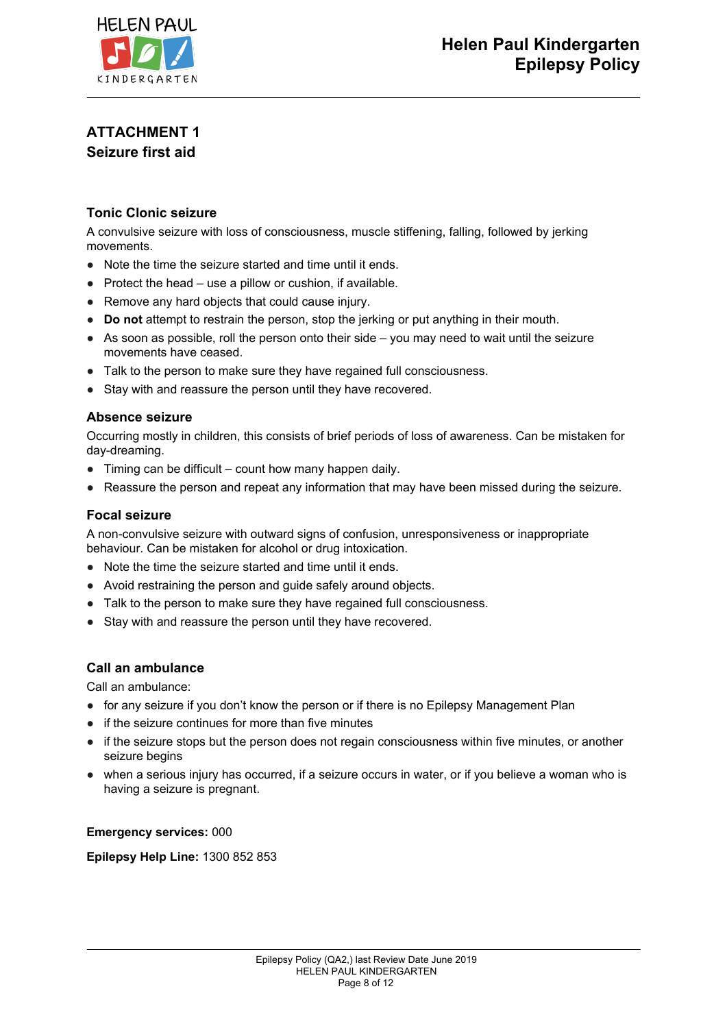

# **ATTACHMENT 1 Seizure first aid**

## **Tonic Clonic seizure**

A convulsive seizure with loss of consciousness, muscle stiffening, falling, followed by jerking movements.

- Note the time the seizure started and time until it ends.
- Protect the head use a pillow or cushion, if available.
- Remove any hard objects that could cause injury.
- **Do not** attempt to restrain the person, stop the jerking or put anything in their mouth.
- As soon as possible, roll the person onto their side you may need to wait until the seizure movements have ceased.
- Talk to the person to make sure they have regained full consciousness.
- Stay with and reassure the person until they have recovered.

### **Absence seizure**

Occurring mostly in children, this consists of brief periods of loss of awareness. Can be mistaken for day-dreaming.

- Timing can be difficult count how many happen daily.
- Reassure the person and repeat any information that may have been missed during the seizure.

### **Focal seizure**

A non-convulsive seizure with outward signs of confusion, unresponsiveness or inappropriate behaviour. Can be mistaken for alcohol or drug intoxication.

- Note the time the seizure started and time until it ends.
- Avoid restraining the person and guide safely around objects.
- Talk to the person to make sure they have regained full consciousness.
- Stay with and reassure the person until they have recovered.

### **Call an ambulance**

Call an ambulance:

- for any seizure if you don't know the person or if there is no Epilepsy Management Plan
- if the seizure continues for more than five minutes
- if the seizure stops but the person does not regain consciousness within five minutes, or another seizure begins
- when a serious injury has occurred, if a seizure occurs in water, or if you believe a woman who is having a seizure is pregnant.

**Emergency services:** 000

**Epilepsy Help Line:** 1300 852 853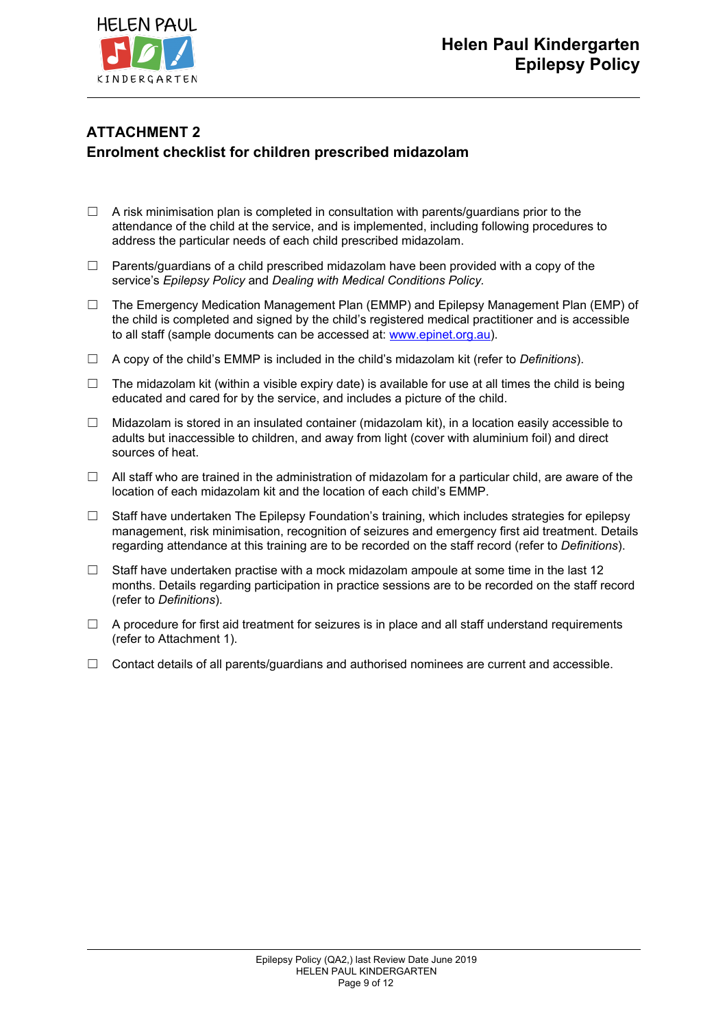

# **ATTACHMENT 2 Enrolment checklist for children prescribed midazolam**

- $\Box$  A risk minimisation plan is completed in consultation with parents/guardians prior to the attendance of the child at the service, and is implemented, including following procedures to address the particular needs of each child prescribed midazolam.
- $\Box$  Parents/guardians of a child prescribed midazolam have been provided with a copy of the service's *Epilepsy Policy* and *Dealing with Medical Conditions Policy.*
- ☐ The Emergency Medication Management Plan (EMMP) and Epilepsy Management Plan (EMP) of the child is completed and signed by the child's registered medical practitioner and is accessible to all staff (sample documents can be accessed at: [www.epinet.org.au](http://www.epinet.org.au/)).
- ☐ A copy of the child's EMMP is included in the child's midazolam kit (refer to *Definitions*).
- $\Box$  The midazolam kit (within a visible expiry date) is available for use at all times the child is being educated and cared for by the service, and includes a picture of the child.
- $\Box$  Midazolam is stored in an insulated container (midazolam kit), in a location easily accessible to adults but inaccessible to children, and away from light (cover with aluminium foil) and direct sources of heat.
- $\Box$  All staff who are trained in the administration of midazolam for a particular child, are aware of the location of each midazolam kit and the location of each child's EMMP.
- $\Box$  Staff have undertaken The Epilepsy Foundation's training, which includes strategies for epilepsy management, risk minimisation, recognition of seizures and emergency first aid treatment. Details regarding attendance at this training are to be recorded on the staff record (refer to *Definitions*).
- $\Box$  Staff have undertaken practise with a mock midazolam ampoule at some time in the last 12 months. Details regarding participation in practice sessions are to be recorded on the staff record (refer to *Definitions*).
- $\Box$  A procedure for first aid treatment for seizures is in place and all staff understand requirements (refer to Attachment 1).
- $\Box$  Contact details of all parents/guardians and authorised nominees are current and accessible.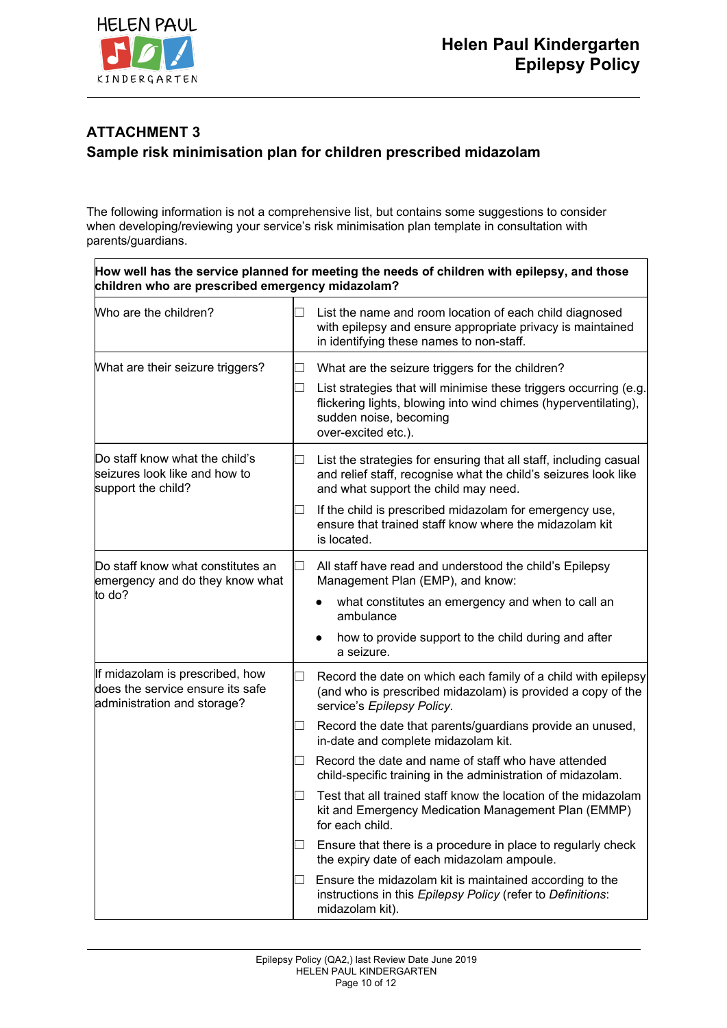

# **ATTACHMENT 3 Sample risk minimisation plan for children prescribed midazolam**

The following information is not a comprehensive list, but contains some suggestions to consider when developing/reviewing your service's risk minimisation plan template in consultation with parents/guardians.

| How well has the service planned for meeting the needs of children with epilepsy, and those<br>children who are prescribed emergency midazolam? |  |                                                                                                                                                                              |  |  |
|-------------------------------------------------------------------------------------------------------------------------------------------------|--|------------------------------------------------------------------------------------------------------------------------------------------------------------------------------|--|--|
| Who are the children?                                                                                                                           |  | List the name and room location of each child diagnosed<br>with epilepsy and ensure appropriate privacy is maintained<br>in identifying these names to non-staff.            |  |  |
| What are their seizure triggers?                                                                                                                |  | What are the seizure triggers for the children?<br>List strategies that will minimise these triggers occurring (e.g.                                                         |  |  |
|                                                                                                                                                 |  | flickering lights, blowing into wind chimes (hyperventilating),<br>sudden noise, becoming<br>over-excited etc.).                                                             |  |  |
| Do staff know what the child's<br>seizures look like and how to<br>support the child?                                                           |  | List the strategies for ensuring that all staff, including casual<br>and relief staff, recognise what the child's seizures look like<br>and what support the child may need. |  |  |
|                                                                                                                                                 |  | If the child is prescribed midazolam for emergency use,<br>ensure that trained staff know where the midazolam kit<br>is located.                                             |  |  |
| Do staff know what constitutes an<br>emergency and do they know what<br>to do?                                                                  |  | All staff have read and understood the child's Epilepsy<br>Management Plan (EMP), and know:                                                                                  |  |  |
|                                                                                                                                                 |  | what constitutes an emergency and when to call an<br>ambulance                                                                                                               |  |  |
|                                                                                                                                                 |  | how to provide support to the child during and after<br>a seizure.                                                                                                           |  |  |
| If midazolam is prescribed, how<br>does the service ensure its safe<br>administration and storage?                                              |  | Record the date on which each family of a child with epilepsy<br>(and who is prescribed midazolam) is provided a copy of the<br>service's Epilepsy Policy.                   |  |  |
|                                                                                                                                                 |  | Record the date that parents/guardians provide an unused,<br>in-date and complete midazolam kit.                                                                             |  |  |
|                                                                                                                                                 |  | Record the date and name of staff who have attended<br>child-specific training in the administration of midazolam.                                                           |  |  |
|                                                                                                                                                 |  | Test that all trained staff know the location of the midazolam<br>kit and Emergency Medication Management Plan (EMMP)<br>for each child.                                     |  |  |
|                                                                                                                                                 |  | Ensure that there is a procedure in place to regularly check<br>the expiry date of each midazolam ampoule.                                                                   |  |  |
|                                                                                                                                                 |  | Ensure the midazolam kit is maintained according to the<br>instructions in this Epilepsy Policy (refer to Definitions:<br>midazolam kit).                                    |  |  |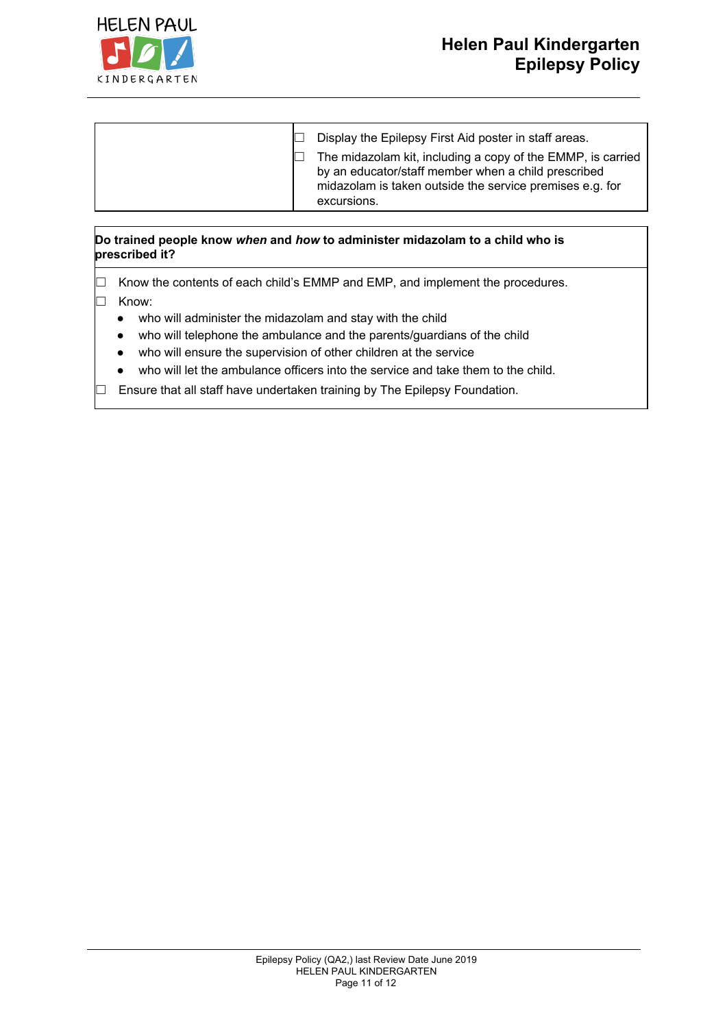

### **Do trained people know** *when* **and** *how* **to administer midazolam to a child who is prescribed it?**

 $\Box$  Know the contents of each child's EMMP and EMP, and implement the procedures. ☐ Know:

- who will administer the midazolam and stay with the child
- who will telephone the ambulance and the parents/guardians of the child
- who will ensure the supervision of other children at the service
- who will let the ambulance officers into the service and take them to the child.
- $\Box$  Ensure that all staff have undertaken training by The Epilepsy Foundation.